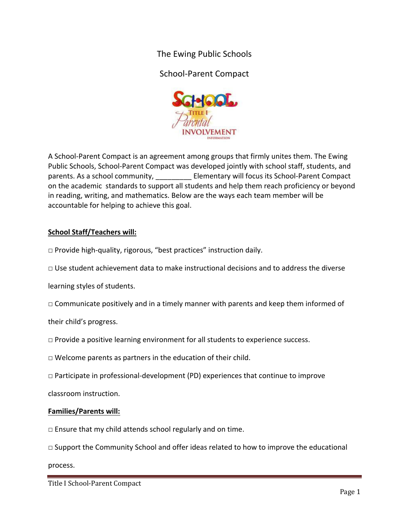The Ewing Public Schools

School‐Parent Compact



A School‐Parent Compact is an agreement among groups that firmly unites them. The Ewing Public Schools, School‐Parent Compact was developed jointly with school staff, students, and parents. As a school community, and all elementary will focus its School-Parent Compact on the academic standards to support all students and help them reach proficiency or beyond in reading, writing, and mathematics. Below are the ways each team member will be accountable for helping to achieve this goal.

## **School Staff/Teachers will:**

□ Provide high-quality, rigorous, "best practices" instruction daily.

 $\Box$  Use student achievement data to make instructional decisions and to address the diverse

learning styles of students.

 $\square$  Communicate positively and in a timely manner with parents and keep them informed of

their child's progress.

 $\Box$  Provide a positive learning environment for all students to experience success.

 $\Box$  Welcome parents as partners in the education of their child.

 $\Box$  Participate in professional-development (PD) experiences that continue to improve

classroom instruction.

## **Families/Parents will:**

 $\square$  Ensure that my child attends school regularly and on time.

 $\Box$  Support the Community School and offer ideas related to how to improve the educational

process.

Title I School-Parent Compact